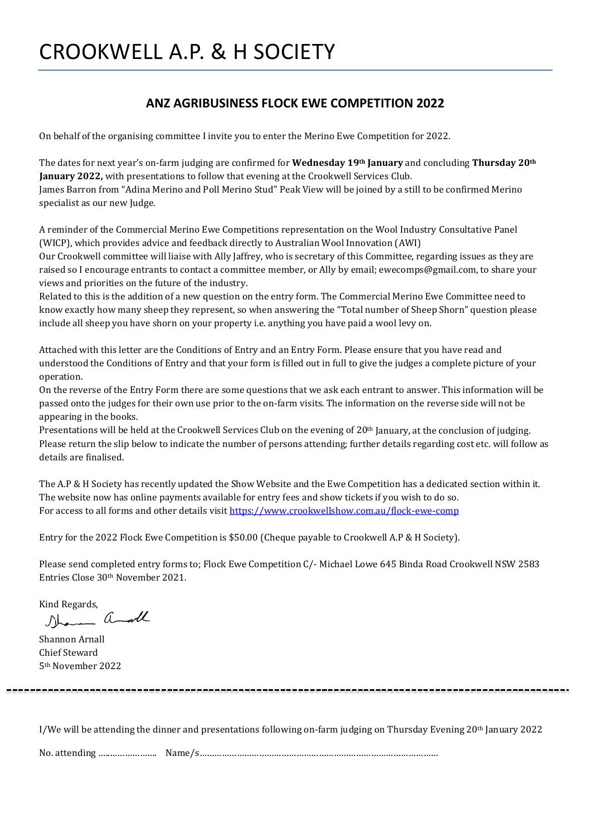#### **ANZ AGRIBUSINESS FLOCK EWE COMPETITION 2022**

On behalf of the organising committee I invite you to enter the Merino Ewe Competition for 2022.

The dates for next year's on-farm judging are confirmed for **Wednesday 19th January** and concluding **Thursday 20th January 2022,** with presentations to follow that evening at the Crookwell Services Club. James Barron from "Adina Merino and Poll Merino Stud" Peak View will be joined by a still to be confirmed Merino specialist as our new Judge.

A reminder of the Commercial Merino Ewe Competitions representation on the Wool Industry Consultative Panel (WICP), which provides advice and feedback directly to Australian Wool Innovation (AWI)

Our Crookwell committee will liaise with Ally Jaffrey, who is secretary of this Committee, regarding issues as they are raised so I encourage entrants to contact a committee member, or Ally by email; ewecomps@gmail.com, to share your views and priorities on the future of the industry.

Related to this is the addition of a new question on the entry form. The Commercial Merino Ewe Committee need to know exactly how many sheep they represent, so when answering the "Total number of Sheep Shorn" question please include all sheep you have shorn on your property i.e. anything you have paid a wool levy on.

Attached with this letter are the Conditions of Entry and an Entry Form. Please ensure that you have read and understood the Conditions of Entry and that your form is filled out in full to give the judges a complete picture of your operation.

On the reverse of the Entry Form there are some questions that we ask each entrant to answer. This information will be passed onto the judges for their own use prior to the on-farm visits. The information on the reverse side will not be appearing in the books.

Presentations will be held at the Crookwell Services Club on the evening of 20th January, at the conclusion of judging. Please return the slip below to indicate the number of persons attending; further details regarding cost etc. will follow as details are finalised.

The A.P & H Society has recently updated the Show Website and the Ewe Competition has a dedicated section within it. The website now has online payments available for entry fees and show tickets if you wish to do so. For access to all forms and other details visi[t https://www.crookwellshow.com.au/flock-ewe-comp](https://www.crookwellshow.com.au/flock-ewe-comp) 

Entry for the 2022 Flock Ewe Competition is \$50.00 (Cheque payable to Crookwell A.P & H Society).

Please send completed entry forms to; Flock Ewe Competition C/- Michael Lowe 645 Binda Road Crookwell NSW 2583 Entries Close 30th November 2021.

Kind Regards,<br>Jonanna and

Shannon Arnall Chief Steward 5th November 2022

I/We will be attending the dinner and presentations following on-farm judging on Thursday Evening  $20<sup>th</sup>$  January 2022

No. attending …..………………. Name/s……………………………………………………………………………………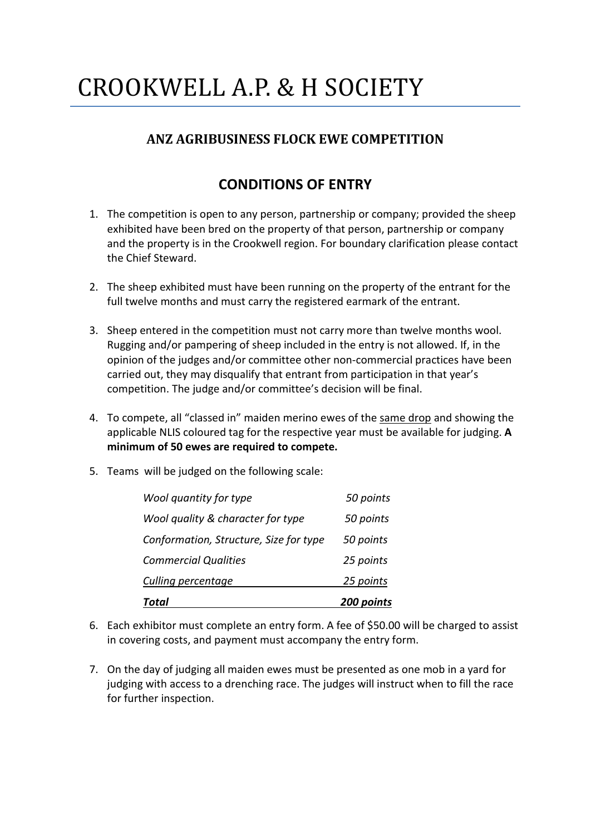# CROOKWELL A.P. & H SOCIETY

### **ANZ AGRIBUSINESS FLOCK EWE COMPETITION**

## **CONDITIONS OF ENTRY**

- 1. The competition is open to any person, partnership or company; provided the sheep exhibited have been bred on the property of that person, partnership or company and the property is in the Crookwell region. For boundary clarification please contact the Chief Steward.
- 2. The sheep exhibited must have been running on the property of the entrant for the full twelve months and must carry the registered earmark of the entrant.
- 3. Sheep entered in the competition must not carry more than twelve months wool. Rugging and/or pampering of sheep included in the entry is not allowed. If, in the opinion of the judges and/or committee other non-commercial practices have been carried out, they may disqualify that entrant from participation in that year's competition. The judge and/or committee's decision will be final.
- 4. To compete, all "classed in" maiden merino ewes of the same drop and showing the applicable NLIS coloured tag for the respective year must be available for judging. **A minimum of 50 ewes are required to compete.**
- 5. Teams will be judged on the following scale:

| Total                                  | 200 points |
|----------------------------------------|------------|
| Culling percentage                     | 25 points  |
| <b>Commercial Qualities</b>            | 25 points  |
| Conformation, Structure, Size for type | 50 points  |
| Wool quality & character for type      | 50 points  |
| Wool quantity for type                 | 50 points  |

- 6. Each exhibitor must complete an entry form. A fee of \$50.00 will be charged to assist in covering costs, and payment must accompany the entry form.
- 7. On the day of judging all maiden ewes must be presented as one mob in a yard for judging with access to a drenching race. The judges will instruct when to fill the race for further inspection.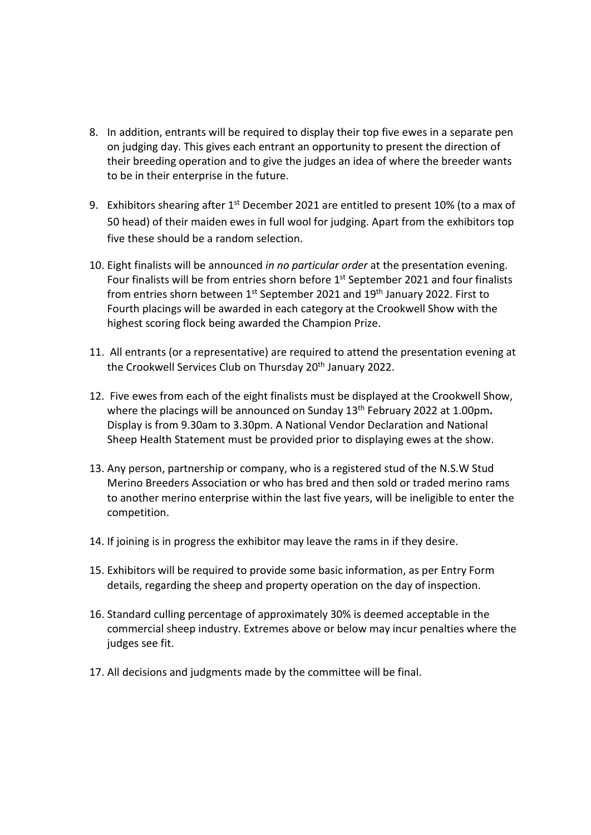- 8. In addition, entrants will be required to display their top five ewes in a separate pen on judging day. This gives each entrant an opportunity to present the direction of their breeding operation and to give the judges an idea of where the breeder wants to be in their enterprise in the future.
- 9. Exhibitors shearing after  $1<sup>st</sup>$  December 2021 are entitled to present 10% (to a max of 50 head) of their maiden ewes in full wool for judging. Apart from the exhibitors top five these should be a random selection.
- 10. Eight finalists will be announced *in no particular order* at the presentation evening. Four finalists will be from entries shorn before 1<sup>st</sup> September 2021 and four finalists from entries shorn between 1<sup>st</sup> September 2021 and 19<sup>th</sup> January 2022. First to Fourth placings will be awarded in each category at the Crookwell Show with the highest scoring flock being awarded the Champion Prize.
- 11. All entrants (or a representative) are required to attend the presentation evening at the Crookwell Services Club on Thursday 20<sup>th</sup> January 2022.
- 12. Five ewes from each of the eight finalists must be displayed at the Crookwell Show, where the placings will be announced on Sunday 13th February 2022 at 1.00pm**.** Display is from 9.30am to 3.30pm. A National Vendor Declaration and National Sheep Health Statement must be provided prior to displaying ewes at the show.
- 13. Any person, partnership or company, who is a registered stud of the N.S.W Stud Merino Breeders Association or who has bred and then sold or traded merino rams to another merino enterprise within the last five years, will be ineligible to enter the competition.
- 14. If joining is in progress the exhibitor may leave the rams in if they desire.
- 15. Exhibitors will be required to provide some basic information, as per Entry Form details, regarding the sheep and property operation on the day of inspection.
- 16. Standard culling percentage of approximately 30% is deemed acceptable in the commercial sheep industry. Extremes above or below may incur penalties where the judges see fit.
- 17. All decisions and judgments made by the committee will be final.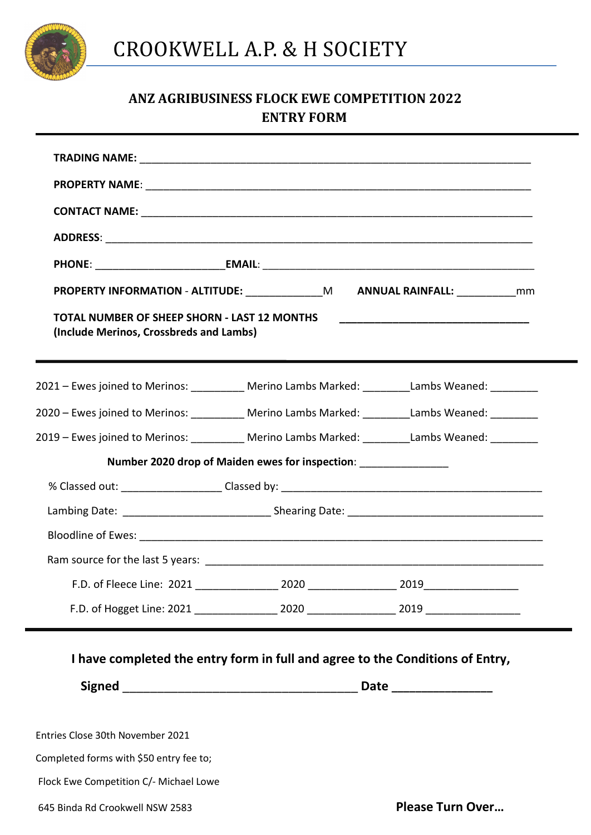

### **ANZ AGRIBUSINESS FLOCK EWE COMPETITION 2022 ENTRY FORM**

|                                                                                         |                                                                 | <b>PROPERTY INFORMATION - ALTITUDE:</b> M ANNUAL RAINFALL: mm                                   |
|-----------------------------------------------------------------------------------------|-----------------------------------------------------------------|-------------------------------------------------------------------------------------------------|
| TOTAL NUMBER OF SHEEP SHORN - LAST 12 MONTHS<br>(Include Merinos, Crossbreds and Lambs) |                                                                 |                                                                                                 |
|                                                                                         |                                                                 | 2021 - Ewes joined to Merinos: __________ Merino Lambs Marked: _________Lambs Weaned: _________ |
|                                                                                         |                                                                 | 2020 - Ewes joined to Merinos: __________ Merino Lambs Marked: _________Lambs Weaned: _________ |
|                                                                                         |                                                                 | 2019 - Ewes joined to Merinos: __________ Merino Lambs Marked: ________Lambs Weaned: _________  |
|                                                                                         | Number 2020 drop of Maiden ewes for inspection: _______________ |                                                                                                 |
|                                                                                         |                                                                 |                                                                                                 |
|                                                                                         |                                                                 |                                                                                                 |
|                                                                                         |                                                                 |                                                                                                 |
|                                                                                         |                                                                 |                                                                                                 |
|                                                                                         |                                                                 |                                                                                                 |
|                                                                                         |                                                                 |                                                                                                 |
|                                                                                         |                                                                 | I have completed the entry form in full and agree to the Conditions of Entry,                   |
|                                                                                         | Date __________________                                         |                                                                                                 |
| Entries Close 30th November 2021                                                        |                                                                 |                                                                                                 |
| Completed forms with \$50 entry fee to;                                                 |                                                                 |                                                                                                 |
| Flock Ewe Competition C/- Michael Lowe                                                  |                                                                 |                                                                                                 |
| 645 Binda Rd Crookwell NSW 2583                                                         |                                                                 | <b>Please Turn Over</b>                                                                         |